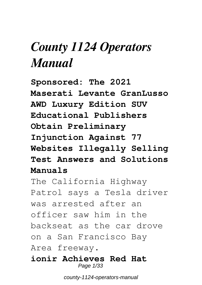# *County 1124 Operators Manual*

**Sponsored: The 2021 Maserati Levante GranLusso AWD Luxury Edition SUV Educational Publishers Obtain Preliminary Injunction Against 77 Websites Illegally Selling Test Answers and Solutions Manuals**

The California Highway Patrol says a Tesla driver was arrested after an officer saw him in the backseat as the car drove on a San Francisco Bay Area freeway.

**ionir Achieves Red Hat** Page 1/33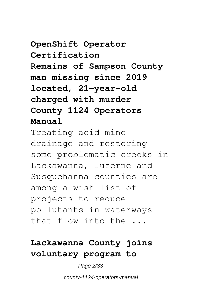#### **OpenShift Operator Certification Remains of Sampson County man missing since 2019 located, 21-year-old charged with murder County 1124 Operators Manual**

Treating acid mine drainage and restoring some problematic creeks in Lackawanna, Luzerne and Susquehanna counties are among a wish list of projects to reduce pollutants in waterways that flow into the ...

#### **Lackawanna County joins voluntary program to**

Page 2/33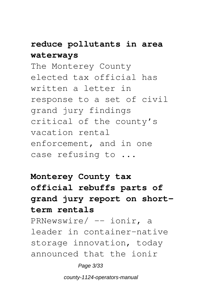#### **reduce pollutants in area waterways**

The Monterey County elected tax official has written a letter in response to a set of civil grand jury findings critical of the county's vacation rental enforcement, and in one case refusing to ...

#### **Monterey County tax official rebuffs parts of grand jury report on shortterm rentals**

PRNewswire/ -- ionir, a leader in container-native storage innovation, today announced that the ionir

Page 3/33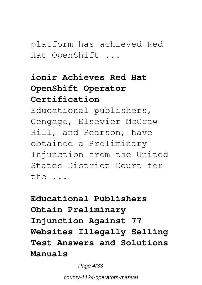platform has achieved Red Hat OpenShift ...

#### **ionir Achieves Red Hat OpenShift Operator Certification**

Educational publishers, Cengage, Elsevier McGraw Hill, and Pearson, have obtained a Preliminary Injunction from the United States District Court for the ...

**Educational Publishers Obtain Preliminary Injunction Against 77 Websites Illegally Selling Test Answers and Solutions Manuals**

Page 4/33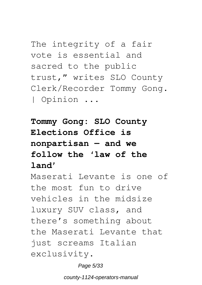The integrity of a fair vote is essential and sacred to the public trust," writes SLO County Clerk/Recorder Tommy Gong. | Opinion ...

**Tommy Gong: SLO County Elections Office is nonpartisan — and we follow the 'law of the land'**

Maserati Levante is one of the most fun to drive vehicles in the midsize luxury SUV class, and there's something about the Maserati Levante that just screams Italian exclusivity.

Page 5/33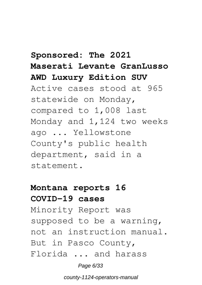#### **Sponsored: The 2021 Maserati Levante GranLusso AWD Luxury Edition SUV**

Active cases stood at 965 statewide on Monday, compared to 1,008 last Monday and 1,124 two weeks ago ... Yellowstone County's public health department, said in a statement.

#### **Montana reports 16 COVID-19 cases**

Minority Report was supposed to be a warning, not an instruction manual. But in Pasco County, Florida ... and harass

Page 6/33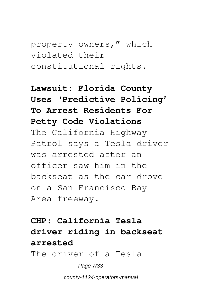property owners," which violated their constitutional rights.

#### **Lawsuit: Florida County Uses 'Predictive Policing' To Arrest Residents For Petty Code Violations** The California Highway Patrol says a Tesla driver was arrested after an officer saw him in the backseat as the car drove on a San Francisco Bay Area freeway.

## **CHP: California Tesla driver riding in backseat arrested**

The driver of a Tesla

Page 7/33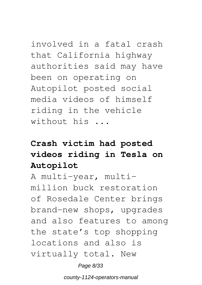involved in a fatal crash that California highway authorities said may have been on operating on Autopilot posted social media videos of himself riding in the vehicle without his ...

#### **Crash victim had posted videos riding in Tesla on Autopilot**

A multi-year, multimillion buck restoration of Rosedale Center brings brand-new shops, upgrades and also features to among the state's top shopping locations and also is virtually total. New

Page 8/33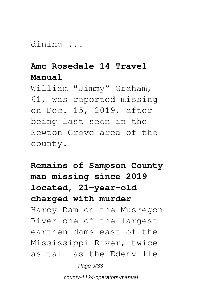dining ...

#### **Amc Rosedale 14 Travel Manual**

William "Jimmy" Graham, 61, was reported missing on Dec. 15, 2019, after being last seen in the Newton Grove area of the county.

**Remains of Sampson County man missing since 2019 located, 21-year-old charged with murder** Hardy Dam on the Muskegon River one of the largest earthen dams east of the Mississippi River, twice as tall as the Edenville

Page 9/33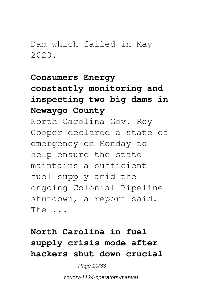#### Dam which failed in May 2020.

#### **Consumers Energy constantly monitoring and inspecting two big dams in Newaygo County**

North Carolina Gov. Roy Cooper declared a state of emergency on Monday to help ensure the state maintains a sufficient fuel supply amid the ongoing Colonial Pipeline shutdown, a report said. The ...

#### **North Carolina in fuel supply crisis mode after hackers shut down crucial**

Page 10/33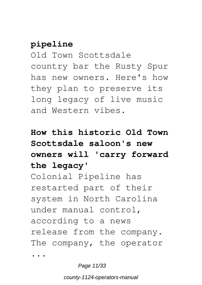#### **pipeline**

Old Town Scottsdale country bar the Rusty Spur has new owners. Here's how they plan to preserve its long legacy of live music and Western vibes.

#### **How this historic Old Town Scottsdale saloon's new owners will 'carry forward the legacy'**

Colonial Pipeline has restarted part of their system in North Carolina under manual control, according to a news release from the company. The company, the operator

...

Page 11/33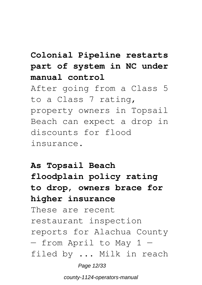#### **Colonial Pipeline restarts part of system in NC under manual control**

After going from a Class 5 to a Class 7 rating, property owners in Topsail Beach can expect a drop in discounts for flood insurance.

#### **As Topsail Beach floodplain policy rating to drop, owners brace for higher insurance**

These are recent restaurant inspection reports for Alachua County — from April to May 1 filed by ... Milk in reach

Page 12/33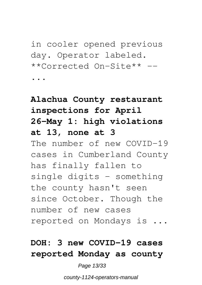in cooler opened previous day. Operator labeled. \*\*Corrected On-Site\*\* --

...

#### **Alachua County restaurant inspections for April 26-May 1: high violations at 13, none at 3** The number of new COVID-19 cases in Cumberland County has finally fallen to single digits - something the county hasn't seen since October. Though the number of new cases reported on Mondays is ...

#### **DOH: 3 new COVID-19 cases reported Monday as county**

#### Page 13/33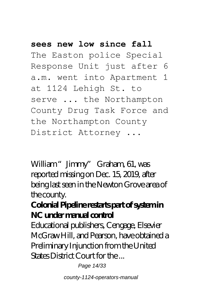#### **sees new low since fall**

The Easton police Special Response Unit just after 6 a.m. went into Apartment 1 at 1124 Lehigh St. to serve ... the Northampton County Drug Task Force and the Northampton County District Attorney ...

William "Jimmy" Graham, 61, was reported missing on Dec. 15, 2019, after being last seen in the Newton Grove area of the county.

#### **Colonial Pipeline restarts part of system in NC under manual control**

Educational publishers, Cengage, Elsevier McGraw Hill, and Pearson, have obtained a Preliminary Injunction from the United States District Court for the ...

Page 14/33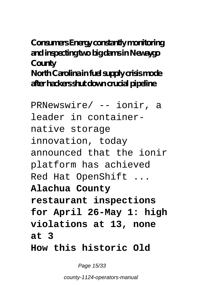#### **Consumers Energy constantly monitoring and inspecting two big dams in Newaygo County North Carolina in fuel supply crisis mode after hackers shut down crucial pipeline**

PRNewswire/ -- ionir, a leader in containernative storage innovation, today announced that the ionir platform has achieved Red Hat OpenShift ... **Alachua County restaurant inspections for April 26-May 1: high violations at 13, none at 3 How this historic Old**

Page 15/33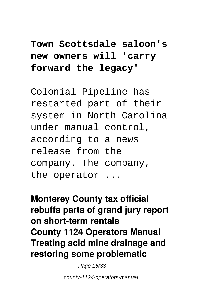#### **Town Scottsdale saloon's new owners will 'carry forward the legacy'**

Colonial Pipeline has restarted part of their system in North Carolina under manual control, according to a news release from the company. The company, the operator ...

**Monterey County tax official rebuffs parts of grand jury report on short-term rentals County 1124 Operators Manual Treating acid mine drainage and restoring some problematic**

Page 16/33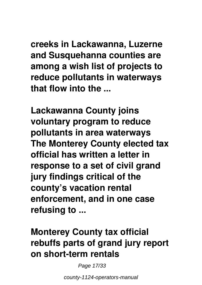**creeks in Lackawanna, Luzerne and Susquehanna counties are among a wish list of projects to reduce pollutants in waterways that flow into the ...**

**Lackawanna County joins voluntary program to reduce pollutants in area waterways The Monterey County elected tax official has written a letter in response to a set of civil grand jury findings critical of the county's vacation rental enforcement, and in one case refusing to ...**

#### **Monterey County tax official rebuffs parts of grand jury report on short-term rentals**

Page 17/33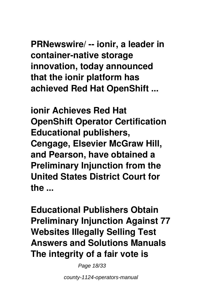**PRNewswire/ -- ionir, a leader in container-native storage innovation, today announced that the ionir platform has achieved Red Hat OpenShift ...**

**ionir Achieves Red Hat OpenShift Operator Certification Educational publishers, Cengage, Elsevier McGraw Hill, and Pearson, have obtained a Preliminary Injunction from the United States District Court for the ...**

**Educational Publishers Obtain Preliminary Injunction Against 77 Websites Illegally Selling Test Answers and Solutions Manuals The integrity of a fair vote is**

Page 18/33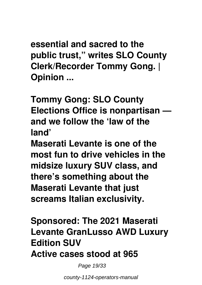**essential and sacred to the public trust," writes SLO County Clerk/Recorder Tommy Gong. | Opinion ...**

**Tommy Gong: SLO County Elections Office is nonpartisan and we follow the 'law of the land'**

**Maserati Levante is one of the most fun to drive vehicles in the midsize luxury SUV class, and there's something about the Maserati Levante that just screams Italian exclusivity.**

**Sponsored: The 2021 Maserati Levante GranLusso AWD Luxury Edition SUV Active cases stood at 965**

Page 19/33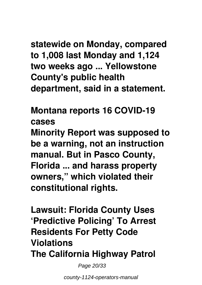### **statewide on Monday, compared to 1,008 last Monday and 1,124 two weeks ago ... Yellowstone County's public health department, said in a statement.**

**Montana reports 16 COVID-19 cases Minority Report was supposed to be a warning, not an instruction manual. But in Pasco County, Florida ... and harass property owners," which violated their constitutional rights.**

**Lawsuit: Florida County Uses 'Predictive Policing' To Arrest Residents For Petty Code Violations The California Highway Patrol**

Page 20/33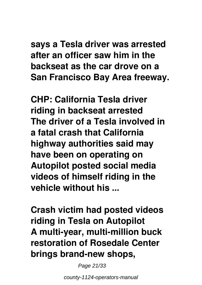#### **says a Tesla driver was arrested after an officer saw him in the backseat as the car drove on a San Francisco Bay Area freeway.**

**CHP: California Tesla driver riding in backseat arrested The driver of a Tesla involved in a fatal crash that California highway authorities said may have been on operating on Autopilot posted social media videos of himself riding in the vehicle without his ...**

**Crash victim had posted videos riding in Tesla on Autopilot A multi-year, multi-million buck restoration of Rosedale Center brings brand-new shops,**

Page 21/33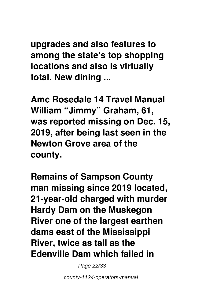**upgrades and also features to among the state's top shopping locations and also is virtually total. New dining ...**

**Amc Rosedale 14 Travel Manual William "Jimmy" Graham, 61, was reported missing on Dec. 15, 2019, after being last seen in the Newton Grove area of the county.**

**Remains of Sampson County man missing since 2019 located, 21-year-old charged with murder Hardy Dam on the Muskegon River one of the largest earthen dams east of the Mississippi River, twice as tall as the Edenville Dam which failed in**

Page 22/33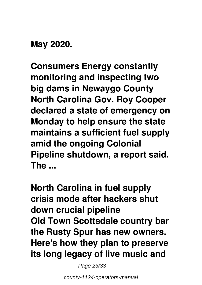#### **May 2020.**

**Consumers Energy constantly monitoring and inspecting two big dams in Newaygo County North Carolina Gov. Roy Cooper declared a state of emergency on Monday to help ensure the state maintains a sufficient fuel supply amid the ongoing Colonial Pipeline shutdown, a report said. The ...**

**North Carolina in fuel supply crisis mode after hackers shut down crucial pipeline Old Town Scottsdale country bar the Rusty Spur has new owners. Here's how they plan to preserve its long legacy of live music and**

Page 23/33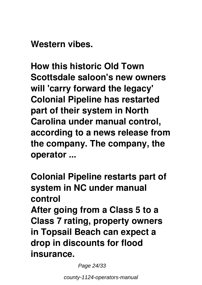**Western vibes.**

**How this historic Old Town Scottsdale saloon's new owners will 'carry forward the legacy' Colonial Pipeline has restarted part of their system in North Carolina under manual control, according to a news release from the company. The company, the operator ...**

**Colonial Pipeline restarts part of system in NC under manual control After going from a Class 5 to a Class 7 rating, property owners in Topsail Beach can expect a drop in discounts for flood insurance.**

Page 24/33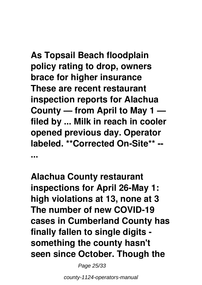**As Topsail Beach floodplain policy rating to drop, owners brace for higher insurance These are recent restaurant inspection reports for Alachua County — from April to May 1 filed by ... Milk in reach in cooler opened previous day. Operator labeled. \*\*Corrected On-Site\*\* -- ...**

**Alachua County restaurant inspections for April 26-May 1: high violations at 13, none at 3 The number of new COVID-19 cases in Cumberland County has finally fallen to single digits something the county hasn't seen since October. Though the**

Page 25/33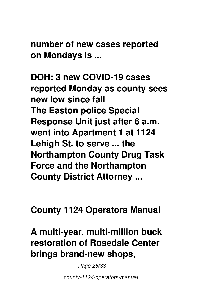**number of new cases reported on Mondays is ...**

**DOH: 3 new COVID-19 cases reported Monday as county sees new low since fall The Easton police Special Response Unit just after 6 a.m. went into Apartment 1 at 1124 Lehigh St. to serve ... the Northampton County Drug Task Force and the Northampton County District Attorney ...**

**County 1124 Operators Manual**

**A multi-year, multi-million buck restoration of Rosedale Center brings brand-new shops,**

Page 26/33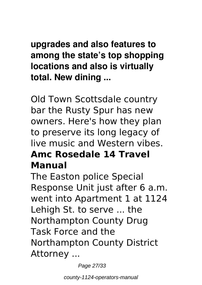#### **upgrades and also features to among the state's top shopping locations and also is virtually total. New dining ...**

Old Town Scottsdale country bar the Rusty Spur has new owners. Here's how they plan to preserve its long legacy of live music and Western vibes. **Amc Rosedale 14 Travel Manual**

The Easton police Special Response Unit just after 6 a.m. went into Apartment 1 at 1124 Lehigh St. to serve ... the Northampton County Drug Task Force and the Northampton County District Attorney ...

Page 27/33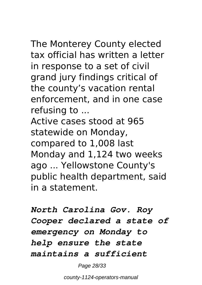The Monterey County elected tax official has written a letter in response to a set of civil grand jury findings critical of the county's vacation rental enforcement, and in one case refusing to ...

Active cases stood at 965 statewide on Monday, compared to 1,008 last Monday and 1,124 two weeks ago ... Yellowstone County's public health department, said in a statement.

*North Carolina Gov. Roy Cooper declared a state of emergency on Monday to help ensure the state maintains a sufficient*

Page 28/33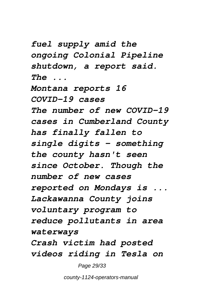*fuel supply amid the ongoing Colonial Pipeline shutdown, a report said. The ...*

*Montana reports 16 COVID-19 cases The number of new COVID-19 cases in Cumberland County has finally fallen to single digits - something the county hasn't seen since October. Though the number of new cases reported on Mondays is ... Lackawanna County joins voluntary program to reduce pollutants in area waterways Crash victim had posted videos riding in Tesla on*

Page 29/33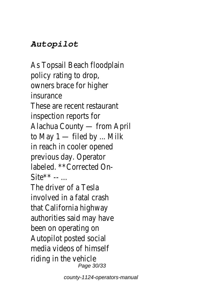#### *Autopilot*

As Topsail Beach floodplain policy rating to drop, owners brace for higher insurance These are recent restaurant inspection reports for Alachua County — from April to May 1 — filed by ... Milk in reach in cooler opened previous day. Operator labeled. \*\*Corrected On- $\mathsf{Sit} \mathsf{e}^{\star \star}$  --

The driver of a Tesla involved in a fatal crash that California highway authorities said may have been on operating on Autopilot posted social media videos of himself riding in the vehicle Page 30/33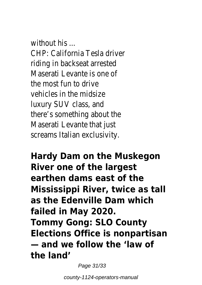without his ... CHP: California Tesla driver riding in backseat arrested Maserati Levante is one of the most fun to drive vehicles in the midsize luxury SUV class, and there's something about the Maserati Levante that just screams Italian exclusivity.

**Hardy Dam on the Muskegon River one of the largest earthen dams east of the Mississippi River, twice as tall as the Edenville Dam which failed in May 2020. Tommy Gong: SLO County Elections Office is nonpartisan — and we follow the 'law of the land'**

Page 31/33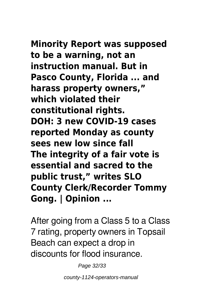**Minority Report was supposed to be a warning, not an instruction manual. But in Pasco County, Florida ... and harass property owners," which violated their constitutional rights. DOH: 3 new COVID-19 cases reported Monday as county sees new low since fall The integrity of a fair vote is essential and sacred to the public trust," writes SLO County Clerk/Recorder Tommy Gong. | Opinion ...**

After going from a Class 5 to a Class 7 rating, property owners in Topsail Beach can expect a drop in discounts for flood insurance.

Page 32/33